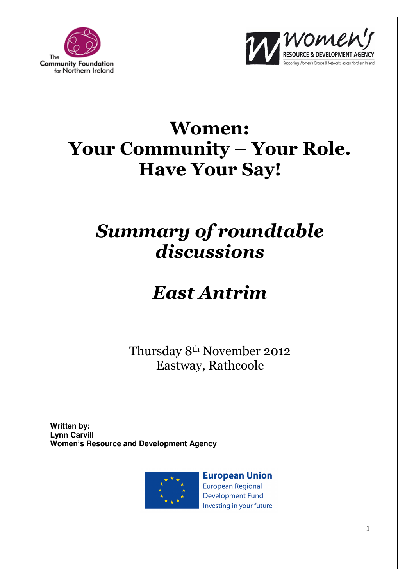



# Women: Your Community – Your Role. Have Your Say!

# Summary of roundtable discussions

# East Antrim

Thursday 8th November 2012 Eastway, Rathcoole

**Written by: Lynn Carvill Women's Resource and Development Agency**



**European Union European Regional Development Fund** Investing in your future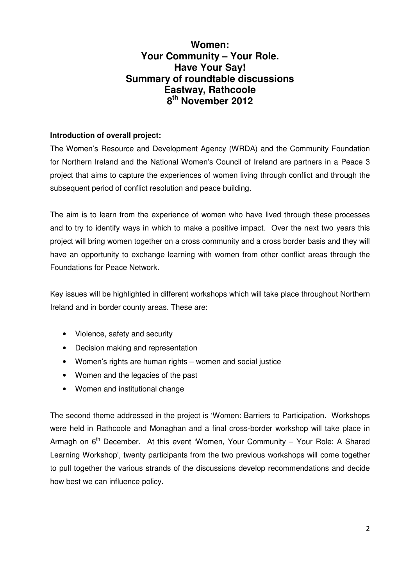### **Women: Your Community – Your Role. Have Your Say! Summary of roundtable discussions Eastway, Rathcoole 8 th November 2012**

#### **Introduction of overall project:**

The Women's Resource and Development Agency (WRDA) and the Community Foundation for Northern Ireland and the National Women's Council of Ireland are partners in a Peace 3 project that aims to capture the experiences of women living through conflict and through the subsequent period of conflict resolution and peace building.

The aim is to learn from the experience of women who have lived through these processes and to try to identify ways in which to make a positive impact. Over the next two years this project will bring women together on a cross community and a cross border basis and they will have an opportunity to exchange learning with women from other conflict areas through the Foundations for Peace Network.

Key issues will be highlighted in different workshops which will take place throughout Northern Ireland and in border county areas. These are:

- Violence, safety and security
- Decision making and representation
- Women's rights are human rights women and social justice
- Women and the legacies of the past
- Women and institutional change

The second theme addressed in the project is 'Women: Barriers to Participation. Workshops were held in Rathcoole and Monaghan and a final cross-border workshop will take place in Armagh on  $6<sup>th</sup>$  December. At this event 'Women, Your Community – Your Role: A Shared Learning Workshop', twenty participants from the two previous workshops will come together to pull together the various strands of the discussions develop recommendations and decide how best we can influence policy.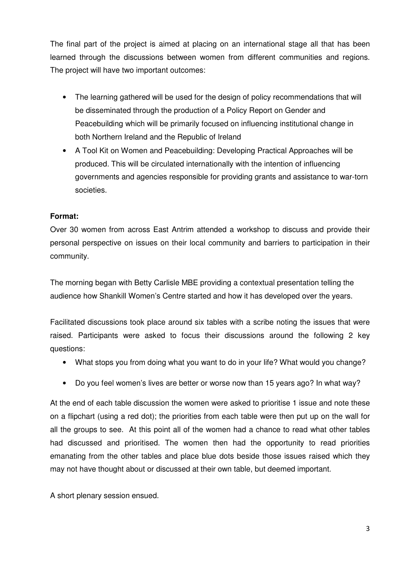The final part of the project is aimed at placing on an international stage all that has been learned through the discussions between women from different communities and regions. The project will have two important outcomes:

- The learning gathered will be used for the design of policy recommendations that will be disseminated through the production of a Policy Report on Gender and Peacebuilding which will be primarily focused on influencing institutional change in both Northern Ireland and the Republic of Ireland
- A Tool Kit on Women and Peacebuilding: Developing Practical Approaches will be produced. This will be circulated internationally with the intention of influencing governments and agencies responsible for providing grants and assistance to war-torn societies.

#### **Format:**

Over 30 women from across East Antrim attended a workshop to discuss and provide their personal perspective on issues on their local community and barriers to participation in their community.

The morning began with Betty Carlisle MBE providing a contextual presentation telling the audience how Shankill Women's Centre started and how it has developed over the years.

Facilitated discussions took place around six tables with a scribe noting the issues that were raised. Participants were asked to focus their discussions around the following 2 key questions:

- What stops you from doing what you want to do in your life? What would you change?
- Do you feel women's lives are better or worse now than 15 years ago? In what way?

At the end of each table discussion the women were asked to prioritise 1 issue and note these on a flipchart (using a red dot); the priorities from each table were then put up on the wall for all the groups to see. At this point all of the women had a chance to read what other tables had discussed and prioritised. The women then had the opportunity to read priorities emanating from the other tables and place blue dots beside those issues raised which they may not have thought about or discussed at their own table, but deemed important.

A short plenary session ensued.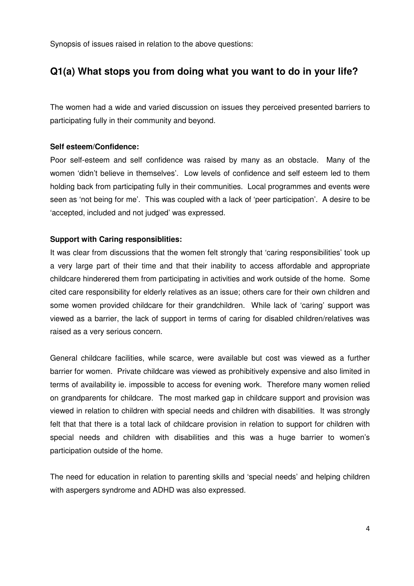Synopsis of issues raised in relation to the above questions:

### **Q1(a) What stops you from doing what you want to do in your life?**

The women had a wide and varied discussion on issues they perceived presented barriers to participating fully in their community and beyond.

#### **Self esteem/Confidence:**

Poor self-esteem and self confidence was raised by many as an obstacle. Many of the women 'didn't believe in themselves'. Low levels of confidence and self esteem led to them holding back from participating fully in their communities. Local programmes and events were seen as 'not being for me'. This was coupled with a lack of 'peer participation'. A desire to be 'accepted, included and not judged' was expressed.

#### **Support with Caring responsiblities:**

It was clear from discussions that the women felt strongly that 'caring responsibilities' took up a very large part of their time and that their inability to access affordable and appropriate childcare hinderered them from participating in activities and work outside of the home. Some cited care responsibility for elderly relatives as an issue; others care for their own children and some women provided childcare for their grandchildren. While lack of 'caring' support was viewed as a barrier, the lack of support in terms of caring for disabled children/relatives was raised as a very serious concern.

General childcare facilities, while scarce, were available but cost was viewed as a further barrier for women. Private childcare was viewed as prohibitively expensive and also limited in terms of availability ie. impossible to access for evening work. Therefore many women relied on grandparents for childcare. The most marked gap in childcare support and provision was viewed in relation to children with special needs and children with disabilities. It was strongly felt that that there is a total lack of childcare provision in relation to support for children with special needs and children with disabilities and this was a huge barrier to women's participation outside of the home.

The need for education in relation to parenting skills and 'special needs' and helping children with aspergers syndrome and ADHD was also expressed.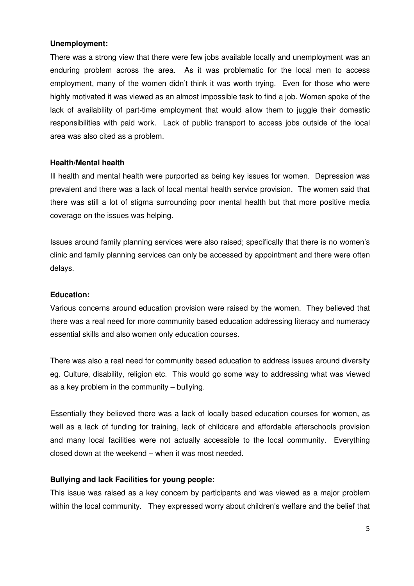#### **Unemployment:**

There was a strong view that there were few jobs available locally and unemployment was an enduring problem across the area. As it was problematic for the local men to access employment, many of the women didn't think it was worth trying. Even for those who were highly motivated it was viewed as an almost impossible task to find a job. Women spoke of the lack of availability of part-time employment that would allow them to juggle their domestic responsibilities with paid work. Lack of public transport to access jobs outside of the local area was also cited as a problem.

#### **Health/Mental health**

Ill health and mental health were purported as being key issues for women. Depression was prevalent and there was a lack of local mental health service provision. The women said that there was still a lot of stigma surrounding poor mental health but that more positive media coverage on the issues was helping.

Issues around family planning services were also raised; specifically that there is no women's clinic and family planning services can only be accessed by appointment and there were often delays.

#### **Education:**

Various concerns around education provision were raised by the women. They believed that there was a real need for more community based education addressing literacy and numeracy essential skills and also women only education courses.

There was also a real need for community based education to address issues around diversity eg. Culture, disability, religion etc. This would go some way to addressing what was viewed as a key problem in the community – bullying.

Essentially they believed there was a lack of locally based education courses for women, as well as a lack of funding for training, lack of childcare and affordable afterschools provision and many local facilities were not actually accessible to the local community. Everything closed down at the weekend – when it was most needed.

#### **Bullying and lack Facilities for young people:**

This issue was raised as a key concern by participants and was viewed as a major problem within the local community. They expressed worry about children's welfare and the belief that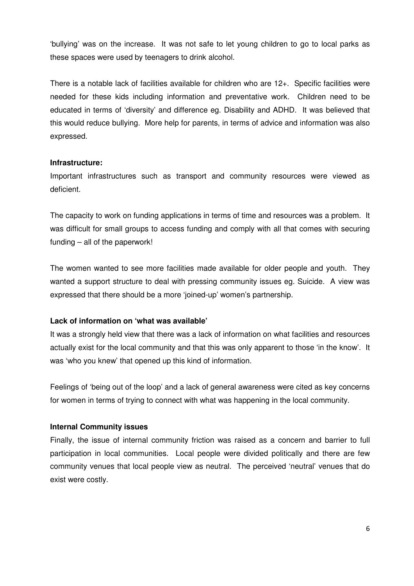'bullying' was on the increase. It was not safe to let young children to go to local parks as these spaces were used by teenagers to drink alcohol.

There is a notable lack of facilities available for children who are 12+. Specific facilities were needed for these kids including information and preventative work. Children need to be educated in terms of 'diversity' and difference eg. Disability and ADHD. It was believed that this would reduce bullying. More help for parents, in terms of advice and information was also expressed.

#### **Infrastructure:**

Important infrastructures such as transport and community resources were viewed as deficient.

The capacity to work on funding applications in terms of time and resources was a problem. It was difficult for small groups to access funding and comply with all that comes with securing funding – all of the paperwork!

The women wanted to see more facilities made available for older people and youth. They wanted a support structure to deal with pressing community issues eg. Suicide. A view was expressed that there should be a more 'joined-up' women's partnership.

#### **Lack of information on 'what was available'**

It was a strongly held view that there was a lack of information on what facilities and resources actually exist for the local community and that this was only apparent to those 'in the know'. It was 'who you knew' that opened up this kind of information.

Feelings of 'being out of the loop' and a lack of general awareness were cited as key concerns for women in terms of trying to connect with what was happening in the local community.

#### **Internal Community issues**

Finally, the issue of internal community friction was raised as a concern and barrier to full participation in local communities. Local people were divided politically and there are few community venues that local people view as neutral. The perceived 'neutral' venues that do exist were costly.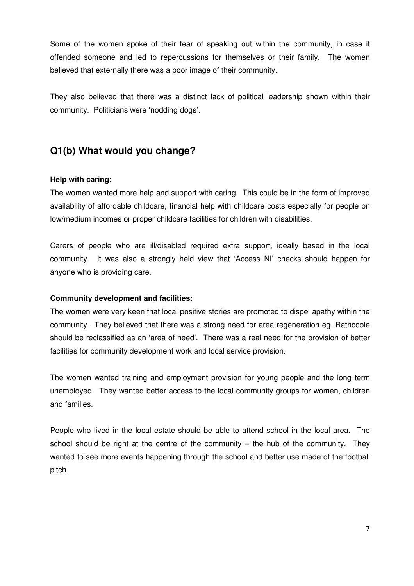Some of the women spoke of their fear of speaking out within the community, in case it offended someone and led to repercussions for themselves or their family. The women believed that externally there was a poor image of their community.

They also believed that there was a distinct lack of political leadership shown within their community. Politicians were 'nodding dogs'.

## **Q1(b) What would you change?**

#### **Help with caring:**

The women wanted more help and support with caring. This could be in the form of improved availability of affordable childcare, financial help with childcare costs especially for people on low/medium incomes or proper childcare facilities for children with disabilities.

Carers of people who are ill/disabled required extra support, ideally based in the local community. It was also a strongly held view that 'Access NI' checks should happen for anyone who is providing care.

#### **Community development and facilities:**

The women were very keen that local positive stories are promoted to dispel apathy within the community. They believed that there was a strong need for area regeneration eg. Rathcoole should be reclassified as an 'area of need'. There was a real need for the provision of better facilities for community development work and local service provision.

The women wanted training and employment provision for young people and the long term unemployed. They wanted better access to the local community groups for women, children and families.

People who lived in the local estate should be able to attend school in the local area. The school should be right at the centre of the community – the hub of the community. They wanted to see more events happening through the school and better use made of the football pitch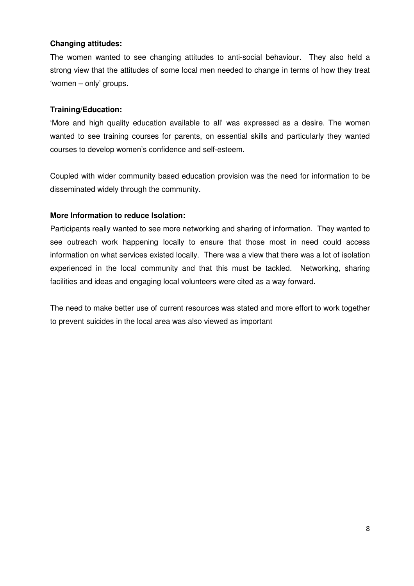#### **Changing attitudes:**

The women wanted to see changing attitudes to anti-social behaviour. They also held a strong view that the attitudes of some local men needed to change in terms of how they treat 'women – only' groups.

#### **Training/Education:**

'More and high quality education available to all' was expressed as a desire. The women wanted to see training courses for parents, on essential skills and particularly they wanted courses to develop women's confidence and self-esteem.

Coupled with wider community based education provision was the need for information to be disseminated widely through the community.

#### **More Information to reduce Isolation:**

Participants really wanted to see more networking and sharing of information. They wanted to see outreach work happening locally to ensure that those most in need could access information on what services existed locally. There was a view that there was a lot of isolation experienced in the local community and that this must be tackled. Networking, sharing facilities and ideas and engaging local volunteers were cited as a way forward.

The need to make better use of current resources was stated and more effort to work together to prevent suicides in the local area was also viewed as important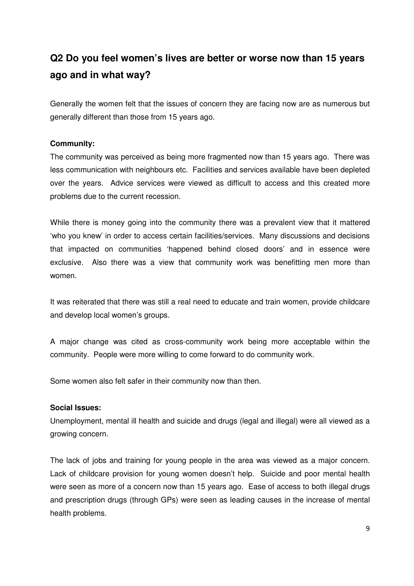# **Q2 Do you feel women's lives are better or worse now than 15 years ago and in what way?**

Generally the women felt that the issues of concern they are facing now are as numerous but generally different than those from 15 years ago.

#### **Community:**

The community was perceived as being more fragmented now than 15 years ago. There was less communication with neighbours etc. Facilities and services available have been depleted over the years. Advice services were viewed as difficult to access and this created more problems due to the current recession.

While there is money going into the community there was a prevalent view that it mattered 'who you knew' in order to access certain facilities/services. Many discussions and decisions that impacted on communities 'happened behind closed doors' and in essence were exclusive. Also there was a view that community work was benefitting men more than women.

It was reiterated that there was still a real need to educate and train women, provide childcare and develop local women's groups.

A major change was cited as cross-community work being more acceptable within the community. People were more willing to come forward to do community work.

Some women also felt safer in their community now than then.

#### **Social Issues:**

Unemployment, mental ill health and suicide and drugs (legal and illegal) were all viewed as a growing concern.

The lack of jobs and training for young people in the area was viewed as a major concern. Lack of childcare provision for young women doesn't help. Suicide and poor mental health were seen as more of a concern now than 15 years ago. Ease of access to both illegal drugs and prescription drugs (through GPs) were seen as leading causes in the increase of mental health problems.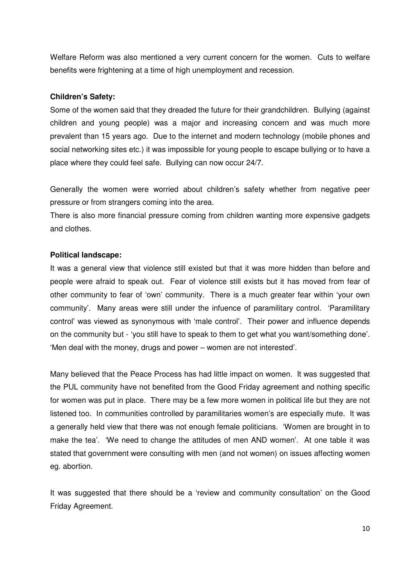Welfare Reform was also mentioned a very current concern for the women. Cuts to welfare benefits were frightening at a time of high unemployment and recession.

#### **Children's Safety:**

Some of the women said that they dreaded the future for their grandchildren. Bullying (against children and young people) was a major and increasing concern and was much more prevalent than 15 years ago. Due to the internet and modern technology (mobile phones and social networking sites etc.) it was impossible for young people to escape bullying or to have a place where they could feel safe. Bullying can now occur 24/7.

Generally the women were worried about children's safety whether from negative peer pressure or from strangers coming into the area.

There is also more financial pressure coming from children wanting more expensive gadgets and clothes.

#### **Political landscape:**

It was a general view that violence still existed but that it was more hidden than before and people were afraid to speak out. Fear of violence still exists but it has moved from fear of other community to fear of 'own' community. There is a much greater fear within 'your own community'. Many areas were still under the infuence of paramilitary control. 'Paramilitary control' was viewed as synonymous with 'male control'. Their power and influence depends on the community but - 'you still have to speak to them to get what you want/something done'. 'Men deal with the money, drugs and power – women are not interested'.

Many believed that the Peace Process has had little impact on women. It was suggested that the PUL community have not benefited from the Good Friday agreement and nothing specific for women was put in place. There may be a few more women in political life but they are not listened too. In communities controlled by paramilitaries women's are especially mute. It was a generally held view that there was not enough female politicians. 'Women are brought in to make the tea'. 'We need to change the attitudes of men AND women'. At one table it was stated that government were consulting with men (and not women) on issues affecting women eg. abortion.

It was suggested that there should be a 'review and community consultation' on the Good Friday Agreement.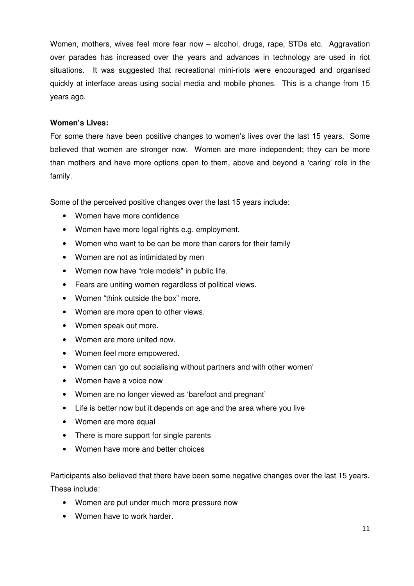Women, mothers, wives feel more fear now – alcohol, drugs, rape, STDs etc. Aggravation over parades has increased over the years and advances in technology are used in riot situations. It was suggested that recreational mini-riots were encouraged and organised quickly at interface areas using social media and mobile phones. This is a change from 15 years ago.

#### **Women's Lives:**

For some there have been positive changes to women's lives over the last 15 years. Some believed that women are stronger now. Women are more independent; they can be more than mothers and have more options open to them, above and beyond a 'caring' role in the family.

Some of the perceived positive changes over the last 15 years include:

- Women have more confidence
- Women have more legal rights e.g. employment.
- Women who want to be can be more than carers for their family
- Women are not as intimidated by men
- Women now have "role models" in public life.
- Fears are uniting women regardless of political views.
- Women "think outside the box" more.
- Women are more open to other views.
- Women speak out more.
- Women are more united now.
- Women feel more empowered.
- Women can 'go out socialising without partners and with other women'
- Women have a voice now
- Women are no longer viewed as 'barefoot and pregnant'
- Life is better now but it depends on age and the area where you live
- Women are more equal
- There is more support for single parents
- Women have more and better choices

Participants also believed that there have been some negative changes over the last 15 years. These include:

- Women are put under much more pressure now
- Women have to work harder.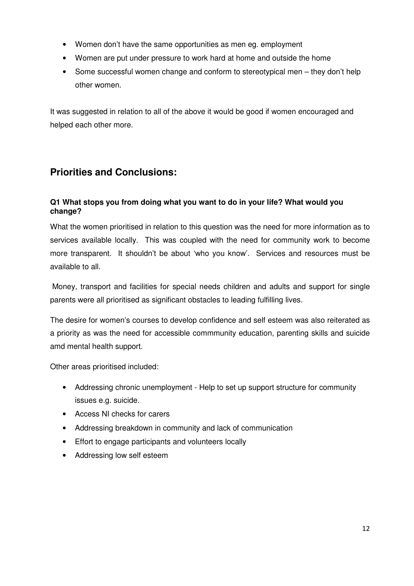- Women don't have the same opportunities as men eg. employment
- Women are put under pressure to work hard at home and outside the home
- Some successful women change and conform to stereotypical men they don't help other women.

It was suggested in relation to all of the above it would be good if women encouraged and helped each other more.

### **Priorities and Conclusions:**

#### **Q1 What stops you from doing what you want to do in your life? What would you change?**

What the women prioritised in relation to this question was the need for more information as to services available locally. This was coupled with the need for community work to become more transparent. It shouldn't be about 'who you know'. Services and resources must be available to all.

 Money, transport and facilities for special needs children and adults and support for single parents were all prioritised as significant obstacles to leading fulfilling lives.

The desire for women's courses to develop confidence and self esteem was also reiterated as a priority as was the need for accessible commmunity education, parenting skills and suicide amd mental health support.

Other areas prioritised included:

- Addressing chronic unemployment Help to set up support structure for community issues e.g. suicide.
- Access NI checks for carers
- Addressing breakdown in community and lack of communication
- Effort to engage participants and volunteers locally
- Addressing low self esteem